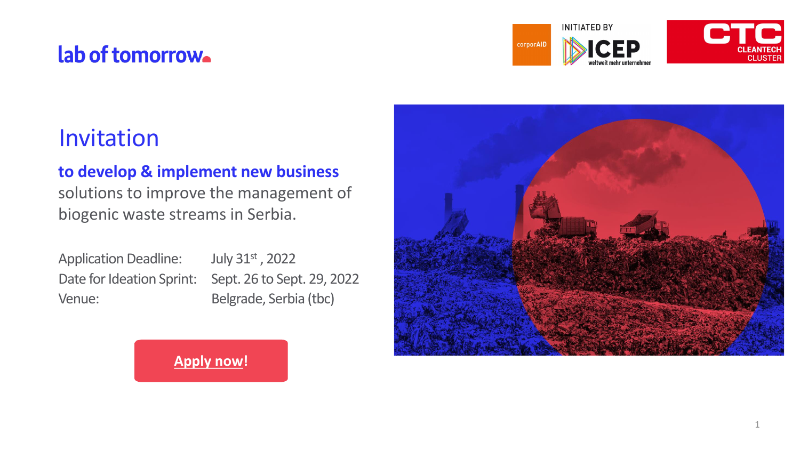Application Deadline: Venue: Belgrade, Serbia (tbc)

July 31st, 2022 Date for Ideation Sprint: Sept. 26 to Sept. 29, 2022



### **to develop & implement new business**

solutions to improve the management of biogenic waste streams in Serbia.

## lab of tomorrow.

### Invitation

**[Apply now!](https://www.lab-of-tomorrow.com/challenge/lot-15-biogenic-waste)**

corporAID



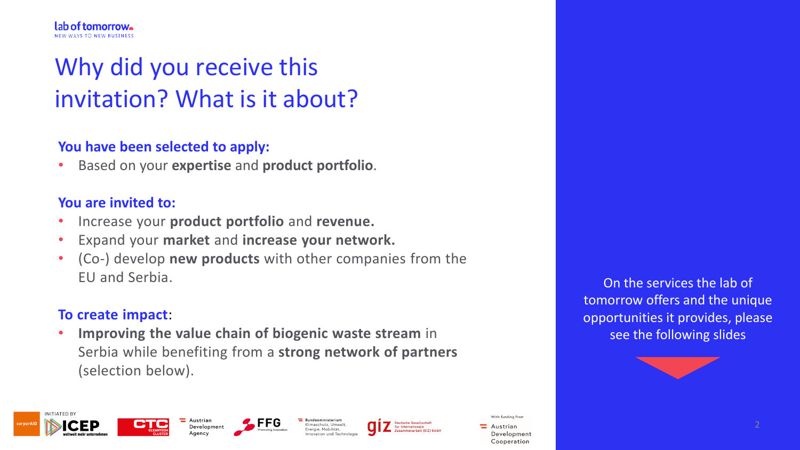# Why did you receive this invitation? What is it about?

#### **You have been selected to apply:**

• Based on your **expertise** and **product portfolio**.

#### **You are invited to:**

- Increase your **product portfolio** and **revenue.**
- Expand your **market** and **increase your network.**
- (Co-) develop **new products** with other companies from the EU and Serbia.

#### **To create impact**:

• **Improving the value chain of biogenic waste stream** in Serbia while benefiting from a **strong network of partners** (selection below).





 $\blacksquare$  Austrian

Aaencv





On the services the lab of tomorrow offers and the unique opportunities it provides, please see the following slides



With funding from

Austrian Development Cooperation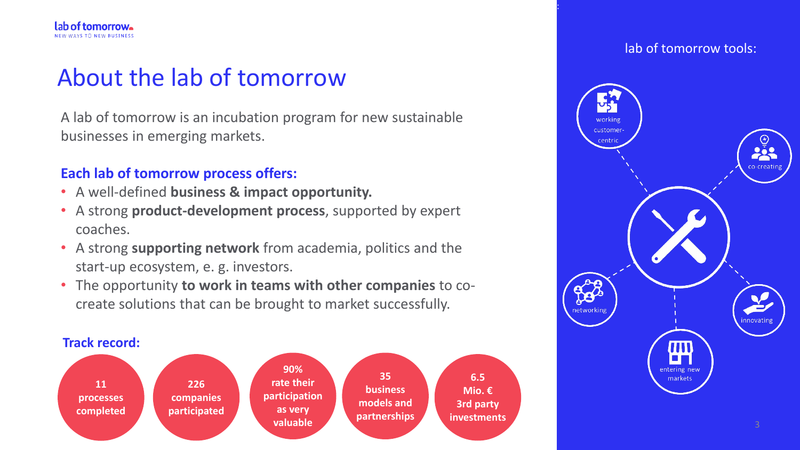## About the lab of tomorrow

A lab of tomorrow is an incubation program for new sustainable businesses in emerging markets.

#### **Each lab of tomorrow process offers:**

- A well-defined **business & impact opportunity.**
- A strong **product-development process**, supported by expert coaches.
- A strong **supporting network** from academia, politics and the start-up ecosystem, e. g. investors.
- The opportunity **to work in teams with other companies** to cocreate solutions that can be brought to market successfully.



#### **Track record:**

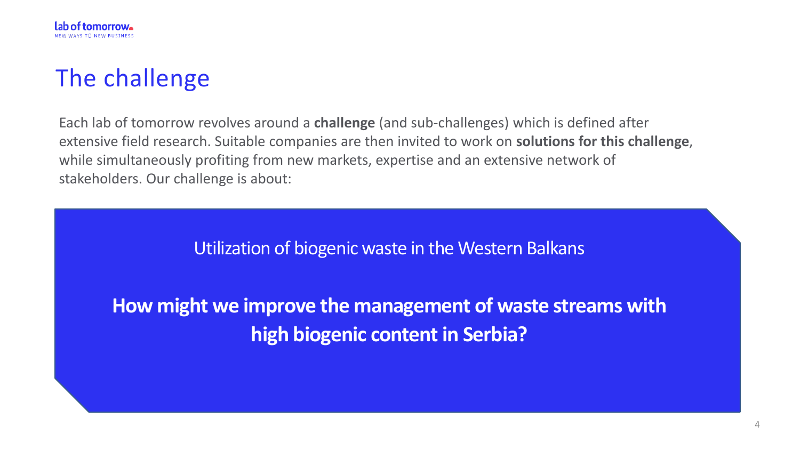Utilization of biogenic waste in the Western Balkans

**How might we improve the management of waste streams with high biogenic content in Serbia?**

Each lab of tomorrow revolves around a **challenge** (and sub-challenges) which is defined after extensive field research. Suitable companies are then invited to work on **solutions for this challenge**, while simultaneously profiting from new markets, expertise and an extensive network of stakeholders. Our challenge is about:



## The challenge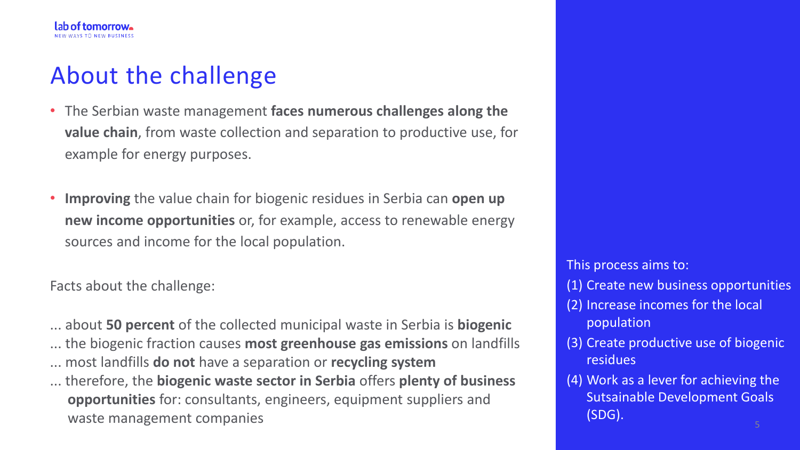## About the challenge

- The Serbian waste management **faces numerous challenges along the value chain**, from waste collection and separation to productive use, for example for energy purposes.
- **Improving** the value chain for biogenic residues in Serbia can **open up new income opportunities** or, for example, access to renewable energy sources and income for the local population.

Facts about the challenge:

... about **50 percent** of the collected municipal waste in Serbia is **biogenic** ... the biogenic fraction causes **most greenhouse gas emissions** on landfills ... most landfills **do not** have a separation or **recycling system** ... therefore, the **biogenic waste sector in Serbia** offers **plenty of business opportunities** for: consultants, engineers, equipment suppliers and waste management companies

This process aims to:

(1) Create new business opportunities

- (2) Increase incomes for the local population
- (3) Create productive use of biogenic residues
- (4) Work as a lever for achieving the Sutsainable Development Goals (SDG).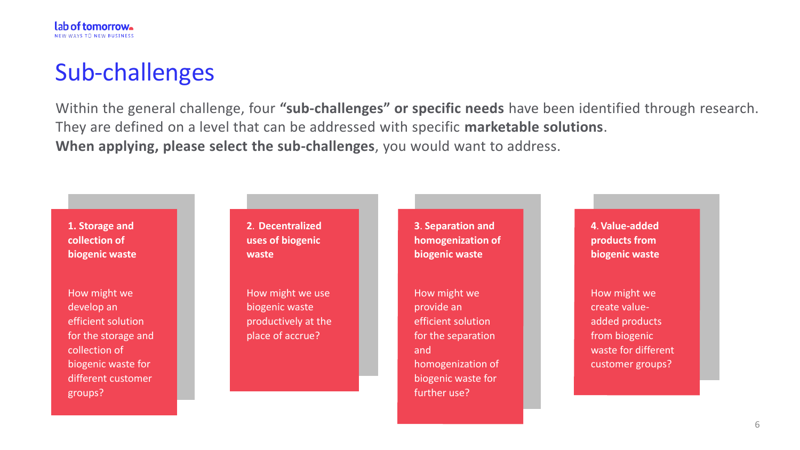**1. Storage and collection of biogenic waste**

How might we develop an efficient solution for the storage and collection of biogenic waste for different customer groups?

## Sub-challenges

Within the general challenge, four **"sub-challenges" or specific needs** have been identified through research. They are defined on a level that can be addressed with specific **marketable solutions**. **When applying, please select the sub-challenges**, you would want to address.



**2**. **Decentralized uses of biogenic waste**

How might we use biogenic waste productively at the place of accrue?

**3**. **Separation and homogenization of biogenic waste**

How might we provide an efficient solution for the separation and homogenization of biogenic waste for further use?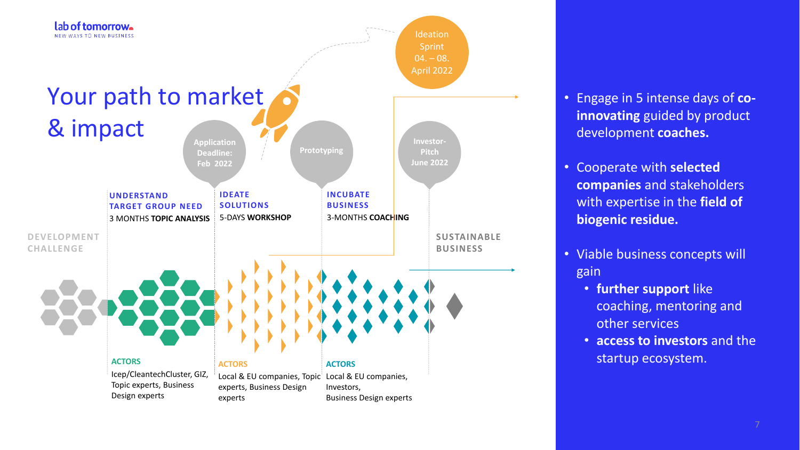

#### • Engage in 5 intense days of **coinnovating** guided by product development **coaches.**

- Cooperate with **selected companies** and stakeholders with expertise in the **field of biogenic residue.**
- Viable business concepts will gain
	- **further support** like coaching, mentoring and other services
	- **access to investors** and the startup ecosystem.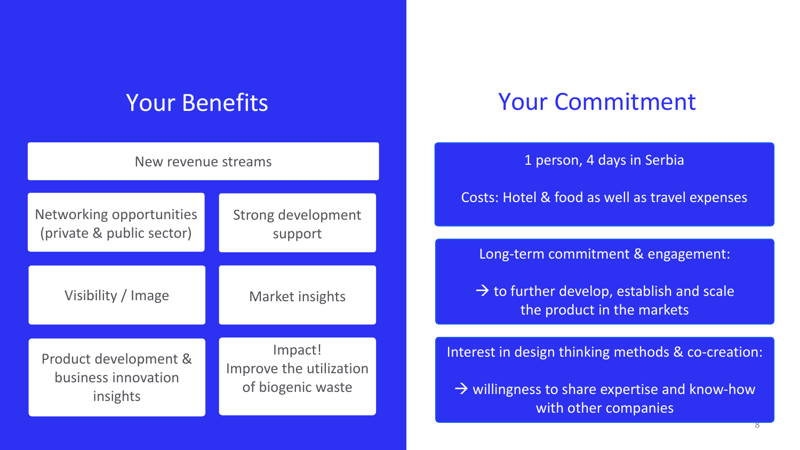## Your Benefits Your Commitment

1 person, 4 days in Serbia

Long-term commitment & engagement:

 $\rightarrow$  to further develop, establish and scale the product in the markets

Costs: Hotel & food as well as travel expenses

 $\rightarrow$  willingness to share expertise and know-how with other companies

| New revenue streams       |                         |
|---------------------------|-------------------------|
| Networking opportunities  | Strong development      |
| (private & public sector) | support                 |
| Visibility / Image        | Market insights         |
| Product development &     | Impact!                 |
| business innovation       | Improve the utilization |
| insights                  | of biogenic waste       |

Interest in design thinking methods & co-creation: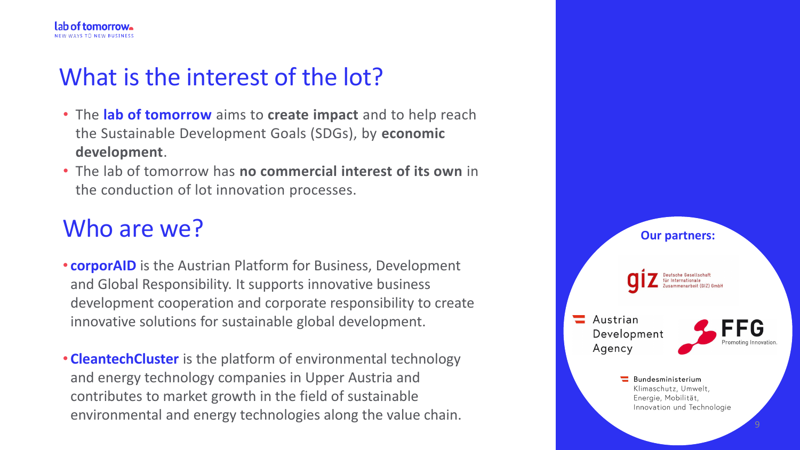- The **lab of tomorrow** aims to **create impact** and to help reach the Sustainable Development Goals (SDGs), by **economic development**.
- The lab of tomorrow has **no commercial interest of its own** in the conduction of lot innovation processes.

## Who are we? **Our partners:**

## What is the interest of the lot?

- **corporAID** is the Austrian Platform for Business, Development and Global Responsibility. It supports innovative business development cooperation and corporate responsibility to create innovative solutions for sustainable global development.
- **CleantechCluster** is the platform of environmental technology and energy technology companies in Upper Austria and contributes to market growth in the field of sustainable environmental and energy technologies along the value chain.

autsche Gesellschaf

Austrian Development Agency



Bundesministerium Klimaschutz, Umwelt, Energie, Mobilität, Innovation und Technologie